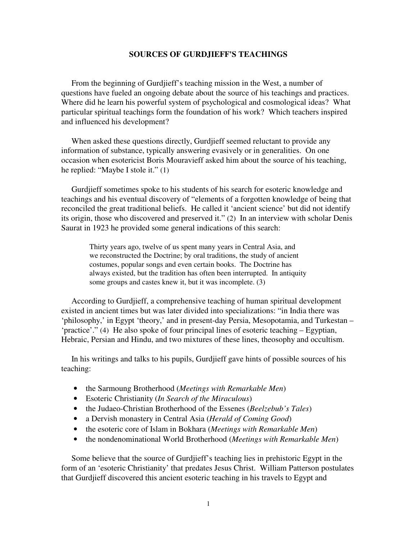# **SOURCES OF GURDJIEFF'S TEACHINGS**

From the beginning of Gurdjieff's teaching mission in the West, a number of questions have fueled an ongoing debate about the source of his teachings and practices. Where did he learn his powerful system of psychological and cosmological ideas? What particular spiritual teachings form the foundation of his work? Which teachers inspired and influenced his development?

 When asked these questions directly, Gurdjieff seemed reluctant to provide any information of substance, typically answering evasively or in generalities. On one occasion when esotericist Boris Mouravieff asked him about the source of his teaching, he replied: "Maybe I stole it." (1)

 Gurdjieff sometimes spoke to his students of his search for esoteric knowledge and teachings and his eventual discovery of "elements of a forgotten knowledge of being that reconciled the great traditional beliefs. He called it 'ancient science' but did not identify its origin, those who discovered and preserved it." (2) In an interview with scholar Denis Saurat in 1923 he provided some general indications of this search:

 Thirty years ago, twelve of us spent many years in Central Asia, and we reconstructed the Doctrine; by oral traditions, the study of ancient costumes, popular songs and even certain books. The Doctrine has always existed, but the tradition has often been interrupted. In antiquity some groups and castes knew it, but it was incomplete. (3)

 According to Gurdjieff, a comprehensive teaching of human spiritual development existed in ancient times but was later divided into specializations: "in India there was 'philosophy,' in Egypt 'theory,' and in present-day Persia, Mesopotamia, and Turkestan – 'practice'." (4) He also spoke of four principal lines of esoteric teaching – Egyptian, Hebraic, Persian and Hindu, and two mixtures of these lines, theosophy and occultism.

 In his writings and talks to his pupils, Gurdjieff gave hints of possible sources of his teaching:

- the Sarmoung Brotherhood (*Meetings with Remarkable Men*)
- Esoteric Christianity (*In Search of the Miraculous*)
- the Judaeo-Christian Brotherhood of the Essenes (*Beelzebub's Tales*)
- a Dervish monastery in Central Asia (*Herald of Coming Good*)
- the esoteric core of Islam in Bokhara (*Meetings with Remarkable Men*)
- the nondenominational World Brotherhood (*Meetings with Remarkable Men*)

 Some believe that the source of Gurdjieff's teaching lies in prehistoric Egypt in the form of an 'esoteric Christianity' that predates Jesus Christ. William Patterson postulates that Gurdjieff discovered this ancient esoteric teaching in his travels to Egypt and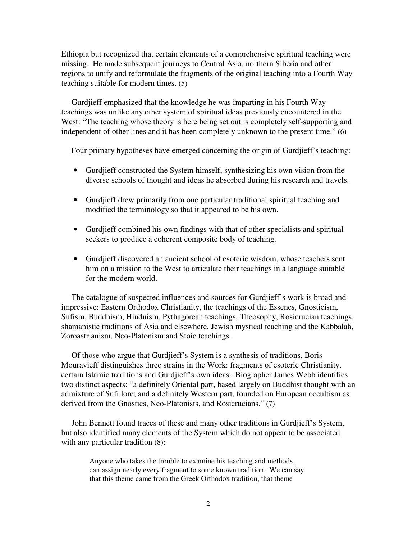Ethiopia but recognized that certain elements of a comprehensive spiritual teaching were missing. He made subsequent journeys to Central Asia, northern Siberia and other regions to unify and reformulate the fragments of the original teaching into a Fourth Way teaching suitable for modern times. (5)

 Gurdjieff emphasized that the knowledge he was imparting in his Fourth Way teachings was unlike any other system of spiritual ideas previously encountered in the West: "The teaching whose theory is here being set out is completely self-supporting and independent of other lines and it has been completely unknown to the present time." (6)

Four primary hypotheses have emerged concerning the origin of Gurdjieff's teaching:

- Gurdjieff constructed the System himself, synthesizing his own vision from the diverse schools of thought and ideas he absorbed during his research and travels.
- Gurdjieff drew primarily from one particular traditional spiritual teaching and modified the terminology so that it appeared to be his own.
- Gurdjieff combined his own findings with that of other specialists and spiritual seekers to produce a coherent composite body of teaching.
- Gurdjieff discovered an ancient school of esoteric wisdom, whose teachers sent him on a mission to the West to articulate their teachings in a language suitable for the modern world.

 The catalogue of suspected influences and sources for Gurdjieff's work is broad and impressive: Eastern Orthodox Christianity, the teachings of the Essenes, Gnosticism, Sufism, Buddhism, Hinduism, Pythagorean teachings, Theosophy, Rosicrucian teachings, shamanistic traditions of Asia and elsewhere, Jewish mystical teaching and the Kabbalah, Zoroastrianism, Neo-Platonism and Stoic teachings.

 Of those who argue that Gurdjieff's System is a synthesis of traditions, Boris Mouravieff distinguishes three strains in the Work: fragments of esoteric Christianity, certain Islamic traditions and Gurdjieff's own ideas. Biographer James Webb identifies two distinct aspects: "a definitely Oriental part, based largely on Buddhist thought with an admixture of Sufi lore; and a definitely Western part, founded on European occultism as derived from the Gnostics, Neo-Platonists, and Rosicrucians." (7)

 John Bennett found traces of these and many other traditions in Gurdjieff's System, but also identified many elements of the System which do not appear to be associated with any particular tradition  $(8)$ :

 Anyone who takes the trouble to examine his teaching and methods, can assign nearly every fragment to some known tradition. We can say that this theme came from the Greek Orthodox tradition, that theme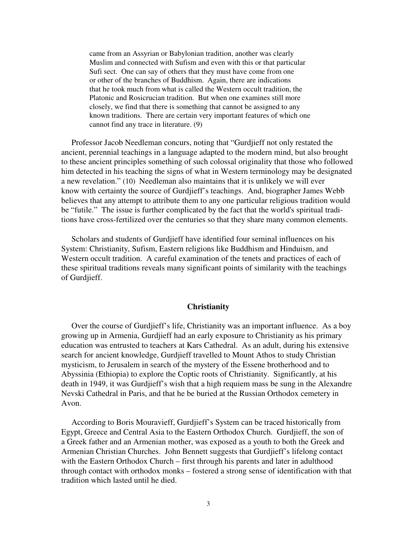came from an Assyrian or Babylonian tradition, another was clearly Muslim and connected with Sufism and even with this or that particular Sufi sect. One can say of others that they must have come from one or other of the branches of Buddhism. Again, there are indications that he took much from what is called the Western occult tradition, the Platonic and Rosicrucian tradition. But when one examines still more closely, we find that there is something that cannot be assigned to any known traditions. There are certain very important features of which one cannot find any trace in literature. (9)

 Professor Jacob Needleman concurs, noting that "Gurdjieff not only restated the ancient, perennial teachings in a language adapted to the modern mind, but also brought to these ancient principles something of such colossal originality that those who followed him detected in his teaching the signs of what in Western terminology may be designated a new revelation." (10) Needleman also maintains that it is unlikely we will ever know with certainty the source of Gurdjieff's teachings. And, biographer James Webb believes that any attempt to attribute them to any one particular religious tradition would be "futile." The issue is further complicated by the fact that the world's spiritual traditions have cross-fertilized over the centuries so that they share many common elements.

 Scholars and students of Gurdjieff have identified four seminal influences on his System: Christianity, Sufism, Eastern religions like Buddhism and Hinduism, and Western occult tradition. A careful examination of the tenets and practices of each of these spiritual traditions reveals many significant points of similarity with the teachings of Gurdjieff.

## **Christianity**

 Over the course of Gurdjieff's life, Christianity was an important influence. As a boy growing up in Armenia, Gurdjieff had an early exposure to Christianity as his primary education was entrusted to teachers at Kars Cathedral. As an adult, during his extensive search for ancient knowledge, Gurdjieff travelled to Mount Athos to study Christian mysticism, to Jerusalem in search of the mystery of the Essene brotherhood and to Abyssinia (Ethiopia) to explore the Coptic roots of Christianity. Significantly, at his death in 1949, it was Gurdjieff's wish that a high requiem mass be sung in the Alexandre Nevski Cathedral in Paris, and that he be buried at the Russian Orthodox cemetery in Avon.

 According to Boris Mouravieff, Gurdjieff's System can be traced historically from Egypt, Greece and Central Asia to the Eastern Orthodox Church. Gurdjieff, the son of a Greek father and an Armenian mother, was exposed as a youth to both the Greek and Armenian Christian Churches. John Bennett suggests that Gurdjieff's lifelong contact with the Eastern Orthodox Church – first through his parents and later in adulthood through contact with orthodox monks – fostered a strong sense of identification with that tradition which lasted until he died.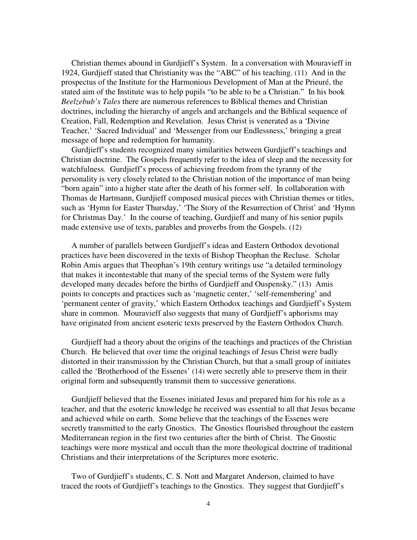Christian themes abound in Gurdjieff's System. In a conversation with Mouravieff in 1924, Gurdjieff stated that Christianity was the "ABC" of his teaching. (11) And in the prospectus of the Institute for the Harmonious Development of Man at the Prieuré, the stated aim of the Institute was to help pupils "to be able to be a Christian." In his book *Beelzebub's Tales* there are numerous references to Biblical themes and Christian doctrines, including the hierarchy of angels and archangels and the Biblical sequence of Creation, Fall, Redemption and Revelation. Jesus Christ is venerated as a 'Divine Teacher,' 'Sacred Individual' and 'Messenger from our Endlessness,' bringing a great message of hope and redemption for humanity.

 Gurdjieff's students recognized many similarities between Gurdjieff's teachings and Christian doctrine. The Gospels frequently refer to the idea of sleep and the necessity for watchfulness. Gurdjieff's process of achieving freedom from the tyranny of the personality is very closely related to the Christian notion of the importance of man being "born again" into a higher state after the death of his former self. In collaboration with Thomas de Hartmann, Gurdjieff composed musical pieces with Christian themes or titles, such as 'Hymn for Easter Thursday,' 'The Story of the Resurrection of Christ' and 'Hymn for Christmas Day.' In the course of teaching, Gurdjieff and many of his senior pupils made extensive use of texts, parables and proverbs from the Gospels. (12)

 A number of parallels between Gurdjieff's ideas and Eastern Orthodox devotional practices have been discovered in the texts of Bishop Theophan the Recluse. Scholar Robin Amis argues that Theophan's 19th century writings use "a detailed terminology that makes it incontestable that many of the special terms of the System were fully developed many decades before the births of Gurdjieff and Ouspensky." (13) Amis points to concepts and practices such as 'magnetic center,' 'self-remembering' and 'permanent center of gravity,' which Eastern Orthodox teachings and Gurdjieff's System share in common. Mouravieff also suggests that many of Gurdjieff's aphorisms may have originated from ancient esoteric texts preserved by the Eastern Orthodox Church.

 Gurdjieff had a theory about the origins of the teachings and practices of the Christian Church. He believed that over time the original teachings of Jesus Christ were badly distorted in their transmission by the Christian Church, but that a small group of initiates called the 'Brotherhood of the Essenes' (14) were secretly able to preserve them in their original form and subsequently transmit them to successive generations.

 Gurdjieff believed that the Essenes initiated Jesus and prepared him for his role as a teacher, and that the esoteric knowledge he received was essential to all that Jesus became and achieved while on earth. Some believe that the teachings of the Essenes were secretly transmitted to the early Gnostics. The Gnostics flourished throughout the eastern Mediterranean region in the first two centuries after the birth of Christ. The Gnostic teachings were more mystical and occult than the more theological doctrine of traditional Christians and their interpretations of the Scriptures more esoteric.

 Two of Gurdjieff's students, C. S. Nott and Margaret Anderson, claimed to have traced the roots of Gurdjieff's teachings to the Gnostics. They suggest that Gurdjieff's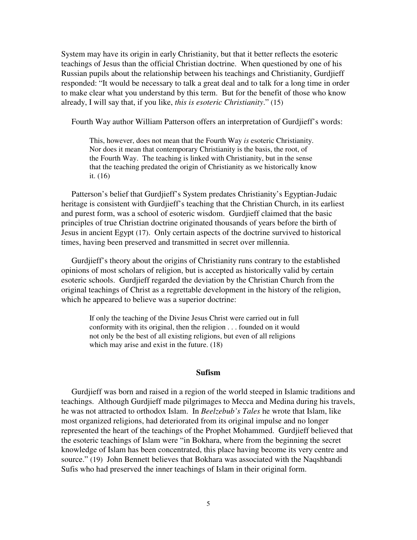System may have its origin in early Christianity, but that it better reflects the esoteric teachings of Jesus than the official Christian doctrine. When questioned by one of his Russian pupils about the relationship between his teachings and Christianity, Gurdjieff responded: "It would be necessary to talk a great deal and to talk for a long time in order to make clear what you understand by this term. But for the benefit of those who know already, I will say that, if you like, *this is esoteric Christianity*." (15)

Fourth Way author William Patterson offers an interpretation of Gurdjieff's words:

 This, however, does not mean that the Fourth Way *is* esoteric Christianity. Nor does it mean that contemporary Christianity is the basis, the root, of the Fourth Way. The teaching is linked with Christianity, but in the sense that the teaching predated the origin of Christianity as we historically know it. (16)

 Patterson's belief that Gurdjieff's System predates Christianity's Egyptian-Judaic heritage is consistent with Gurdjieff's teaching that the Christian Church, in its earliest and purest form, was a school of esoteric wisdom. Gurdjieff claimed that the basic principles of true Christian doctrine originated thousands of years before the birth of Jesus in ancient Egypt (17). Only certain aspects of the doctrine survived to historical times, having been preserved and transmitted in secret over millennia.

 Gurdjieff's theory about the origins of Christianity runs contrary to the established opinions of most scholars of religion, but is accepted as historically valid by certain esoteric schools. Gurdjieff regarded the deviation by the Christian Church from the original teachings of Christ as a regrettable development in the history of the religion, which he appeared to believe was a superior doctrine:

 If only the teaching of the Divine Jesus Christ were carried out in full conformity with its original, then the religion . . . founded on it would not only be the best of all existing religions, but even of all religions which may arise and exist in the future. (18)

## **Sufism**

 Gurdjieff was born and raised in a region of the world steeped in Islamic traditions and teachings. Although Gurdjieff made pilgrimages to Mecca and Medina during his travels, he was not attracted to orthodox Islam. In *Beelzebub's Tales* he wrote that Islam, like most organized religions, had deteriorated from its original impulse and no longer represented the heart of the teachings of the Prophet Mohammed. Gurdjieff believed that the esoteric teachings of Islam were "in Bokhara, where from the beginning the secret knowledge of Islam has been concentrated, this place having become its very centre and source." (19) John Bennett believes that Bokhara was associated with the Naqshbandi Sufis who had preserved the inner teachings of Islam in their original form.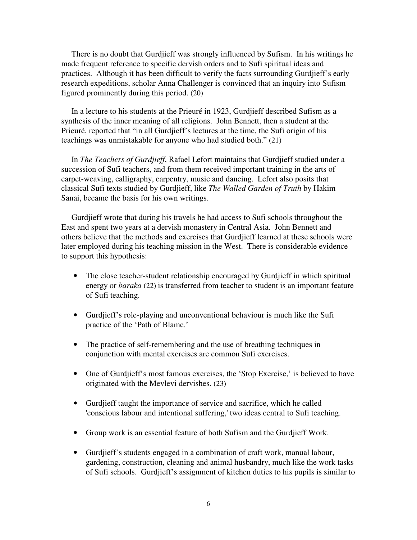There is no doubt that Gurdjieff was strongly influenced by Sufism. In his writings he made frequent reference to specific dervish orders and to Sufi spiritual ideas and practices. Although it has been difficult to verify the facts surrounding Gurdjieff's early research expeditions, scholar Anna Challenger is convinced that an inquiry into Sufism figured prominently during this period. (20)

 In a lecture to his students at the Prieuré in 1923, Gurdjieff described Sufism as a synthesis of the inner meaning of all religions. John Bennett, then a student at the Prieuré, reported that "in all Gurdjieff's lectures at the time, the Sufi origin of his teachings was unmistakable for anyone who had studied both." (21)

 In *The Teachers of Gurdjieff*, Rafael Lefort maintains that Gurdjieff studied under a succession of Sufi teachers, and from them received important training in the arts of carpet-weaving, calligraphy, carpentry, music and dancing. Lefort also posits that classical Sufi texts studied by Gurdjieff, like *The Walled Garden of Truth* by Hakim Sanai, became the basis for his own writings.

 Gurdjieff wrote that during his travels he had access to Sufi schools throughout the East and spent two years at a dervish monastery in Central Asia. John Bennett and others believe that the methods and exercises that Gurdjieff learned at these schools were later employed during his teaching mission in the West. There is considerable evidence to support this hypothesis:

- The close teacher-student relationship encouraged by Gurdjieff in which spiritual energy or *baraka* (22) is transferred from teacher to student is an important feature of Sufi teaching.
- Gurdjieff's role-playing and unconventional behaviour is much like the Sufi practice of the 'Path of Blame.'
- The practice of self-remembering and the use of breathing techniques in conjunction with mental exercises are common Sufi exercises.
- One of Gurdjieff's most famous exercises, the 'Stop Exercise,' is believed to have originated with the Mevlevi dervishes. (23)
- Gurdjieff taught the importance of service and sacrifice, which he called 'conscious labour and intentional suffering,' two ideas central to Sufi teaching.
- Group work is an essential feature of both Sufism and the Gurdjieff Work.
- Gurdjieff's students engaged in a combination of craft work, manual labour, gardening, construction, cleaning and animal husbandry, much like the work tasks of Sufi schools. Gurdjieff's assignment of kitchen duties to his pupils is similar to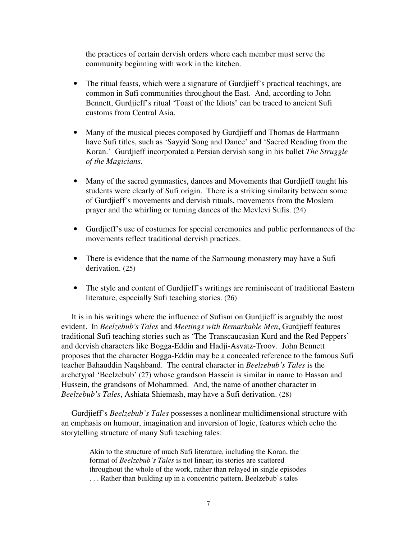the practices of certain dervish orders where each member must serve the community beginning with work in the kitchen.

- The ritual feasts, which were a signature of Gurdjieff's practical teachings, are common in Sufi communities throughout the East. And, according to John Bennett, Gurdjieff's ritual 'Toast of the Idiots' can be traced to ancient Sufi customs from Central Asia.
- Many of the musical pieces composed by Gurdjieff and Thomas de Hartmann have Sufi titles, such as 'Sayyid Song and Dance' and 'Sacred Reading from the Koran.' Gurdjieff incorporated a Persian dervish song in his ballet *The Struggle of the Magicians.*
- Many of the sacred gymnastics, dances and Movements that Gurdieff taught his students were clearly of Sufi origin. There is a striking similarity between some of Gurdjieff's movements and dervish rituals, movements from the Moslem prayer and the whirling or turning dances of the Mevlevi Sufis. (24)
- Gurdjieff's use of costumes for special ceremonies and public performances of the movements reflect traditional dervish practices.
- There is evidence that the name of the Sarmoung monastery may have a Sufi derivation. (25)
- The style and content of Gurdjieff's writings are reminiscent of traditional Eastern literature, especially Sufi teaching stories. (26)

 It is in his writings where the influence of Sufism on Gurdjieff is arguably the most evident. In *Beelzebub's Tales* and *Meetings with Remarkable Men*, Gurdjieff features traditional Sufi teaching stories such as 'The Transcaucasian Kurd and the Red Peppers' and dervish characters like Bogga-Eddin and Hadji-Asvatz-Troov. John Bennett proposes that the character Bogga-Eddin may be a concealed reference to the famous Sufi teacher Bahauddin Naqshband. The central character in *Beelzebub's Tales* is the archetypal 'Beelzebub' (27) whose grandson Hassein is similar in name to Hassan and Hussein, the grandsons of Mohammed. And, the name of another character in *Beelzebub's Tales*, Ashiata Shiemash, may have a Sufi derivation. (28)

 Gurdjieff's *Beelzebub's Tales* possesses a nonlinear multidimensional structure with an emphasis on humour, imagination and inversion of logic, features which echo the storytelling structure of many Sufi teaching tales:

 Akin to the structure of much Sufi literature, including the Koran, the format of *Beelzebub's Tales* is not linear; its stories are scattered throughout the whole of the work, rather than relayed in single episodes . . . Rather than building up in a concentric pattern, Beelzebub's tales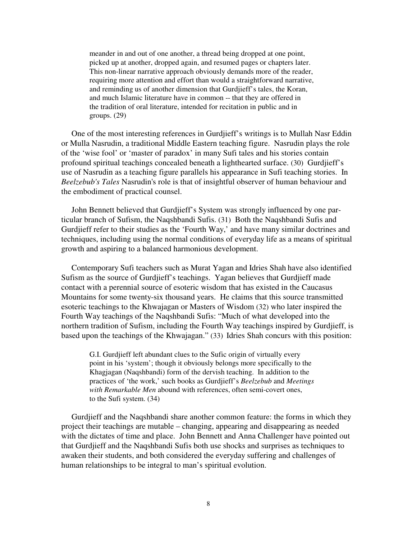meander in and out of one another, a thread being dropped at one point, picked up at another, dropped again, and resumed pages or chapters later. This non-linear narrative approach obviously demands more of the reader, requiring more attention and effort than would a straightforward narrative, and reminding us of another dimension that Gurdjieff's tales, the Koran, and much Islamic literature have in common -- that they are offered in the tradition of oral literature, intended for recitation in public and in groups. (29)

 One of the most interesting references in Gurdjieff's writings is to Mullah Nasr Eddin or Mulla Nasrudin, a traditional Middle Eastern teaching figure. Nasrudin plays the role of the 'wise fool' or 'master of paradox' in many Sufi tales and his stories contain profound spiritual teachings concealed beneath a lighthearted surface. (30) Gurdjieff's use of Nasrudin as a teaching figure parallels his appearance in Sufi teaching stories. In *Beelzebub's Tales* Nasrudin's role is that of insightful observer of human behaviour and the embodiment of practical counsel.

 John Bennett believed that Gurdjieff's System was strongly influenced by one particular branch of Sufism, the Naqshbandi Sufis. (31) Both the Naqshbandi Sufis and Gurdjieff refer to their studies as the 'Fourth Way,' and have many similar doctrines and techniques, including using the normal conditions of everyday life as a means of spiritual growth and aspiring to a balanced harmonious development.

 Contemporary Sufi teachers such as Murat Yagan and Idries Shah have also identified Sufism as the source of Gurdjieff's teachings. Yagan believes that Gurdjieff made contact with a perennial source of esoteric wisdom that has existed in the Caucasus Mountains for some twenty-six thousand years. He claims that this source transmitted esoteric teachings to the Khwajagan or Masters of Wisdom (32) who later inspired the Fourth Way teachings of the Naqshbandi Sufis: "Much of what developed into the northern tradition of Sufism, including the Fourth Way teachings inspired by Gurdjieff, is based upon the teachings of the Khwajagan." (33) Idries Shah concurs with this position:

 G.I. Gurdjieff left abundant clues to the Sufic origin of virtually every point in his 'system'; though it obviously belongs more specifically to the Khagjagan (Naqshbandi) form of the dervish teaching. In addition to the practices of 'the work,' such books as Gurdjieff's *Beelzebub* and *Meetings with Remarkable Men* abound with references, often semi-covert ones, to the Sufi system. (34)

 Gurdjieff and the Naqshbandi share another common feature: the forms in which they project their teachings are mutable – changing, appearing and disappearing as needed with the dictates of time and place. John Bennett and Anna Challenger have pointed out that Gurdjieff and the Naqshbandi Sufis both use shocks and surprises as techniques to awaken their students, and both considered the everyday suffering and challenges of human relationships to be integral to man's spiritual evolution.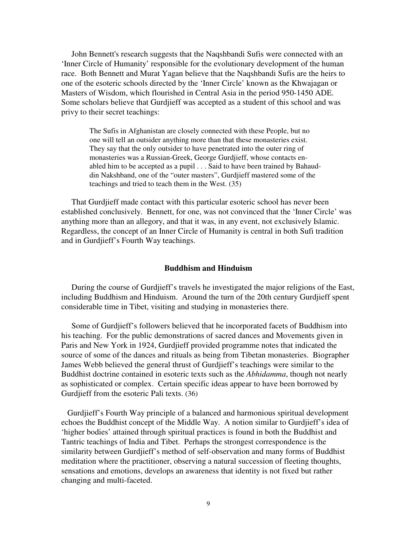John Bennett's research suggests that the Naqshbandi Sufis were connected with an 'Inner Circle of Humanity' responsible for the evolutionary development of the human race. Both Bennett and Murat Yagan believe that the Naqshbandi Sufis are the heirs to one of the esoteric schools directed by the 'Inner Circle' known as the Khwajagan or Masters of Wisdom, which flourished in Central Asia in the period 950-1450 ADE. Some scholars believe that Gurdjieff was accepted as a student of this school and was privy to their secret teachings:

 The Sufis in Afghanistan are closely connected with these People, but no one will tell an outsider anything more than that these monasteries exist. They say that the only outsider to have penetrated into the outer ring of monasteries was a Russian-Greek, George Gurdjieff, whose contacts en abled him to be accepted as a pupil . . . Said to have been trained by Bahaud din Nakshband, one of the "outer masters", Gurdjieff mastered some of the teachings and tried to teach them in the West. (35)

 That Gurdjieff made contact with this particular esoteric school has never been established conclusively. Bennett, for one, was not convinced that the 'Inner Circle' was anything more than an allegory, and that it was, in any event, not exclusively Islamic. Regardless, the concept of an Inner Circle of Humanity is central in both Sufi tradition and in Gurdjieff's Fourth Way teachings.

#### **Buddhism and Hinduism**

 During the course of Gurdjieff's travels he investigated the major religions of the East, including Buddhism and Hinduism. Around the turn of the 20th century Gurdjieff spent considerable time in Tibet, visiting and studying in monasteries there.

 Some of Gurdjieff's followers believed that he incorporated facets of Buddhism into his teaching. For the public demonstrations of sacred dances and Movements given in Paris and New York in 1924, Gurdjieff provided programme notes that indicated the source of some of the dances and rituals as being from Tibetan monasteries. Biographer James Webb believed the general thrust of Gurdjieff's teachings were similar to the Buddhist doctrine contained in esoteric texts such as the *Abhidamma*, though not nearly as sophisticated or complex. Certain specific ideas appear to have been borrowed by Gurdjieff from the esoteric Pali texts. (36)

 Gurdjieff's Fourth Way principle of a balanced and harmonious spiritual development echoes the Buddhist concept of the Middle Way. A notion similar to Gurdjieff's idea of 'higher bodies' attained through spiritual practices is found in both the Buddhist and Tantric teachings of India and Tibet. Perhaps the strongest correspondence is the similarity between Gurdjieff's method of self-observation and many forms of Buddhist meditation where the practitioner, observing a natural succession of fleeting thoughts, sensations and emotions, develops an awareness that identity is not fixed but rather changing and multi-faceted.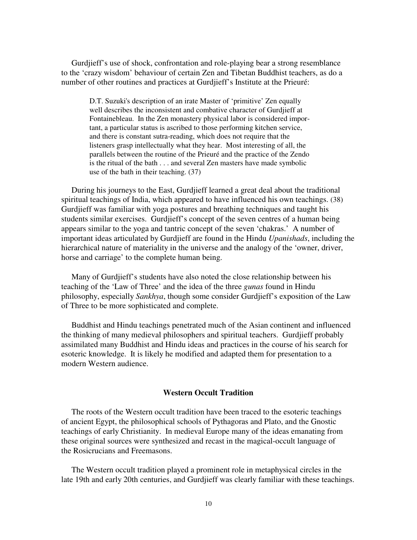Gurdjieff's use of shock, confrontation and role-playing bear a strong resemblance to the 'crazy wisdom' behaviour of certain Zen and Tibetan Buddhist teachers, as do a number of other routines and practices at Gurdjieff's Institute at the Prieuré:

 D.T. Suzuki's description of an irate Master of 'primitive' Zen equally well describes the inconsistent and combative character of Gurdjieff at Fontainebleau. In the Zen monastery physical labor is considered impor tant, a particular status is ascribed to those performing kitchen service, and there is constant sutra-reading, which does not require that the listeners grasp intellectually what they hear. Most interesting of all, the parallels between the routine of the Prieuré and the practice of the Zendo is the ritual of the bath . . . and several Zen masters have made symbolic use of the bath in their teaching. (37)

 During his journeys to the East, Gurdjieff learned a great deal about the traditional spiritual teachings of India, which appeared to have influenced his own teachings. (38) Gurdjieff was familiar with yoga postures and breathing techniques and taught his students similar exercises. Gurdjieff's concept of the seven centres of a human being appears similar to the yoga and tantric concept of the seven 'chakras.' A number of important ideas articulated by Gurdjieff are found in the Hindu *Upanishads*, including the hierarchical nature of materiality in the universe and the analogy of the 'owner, driver, horse and carriage' to the complete human being.

 Many of Gurdjieff's students have also noted the close relationship between his teaching of the 'Law of Three' and the idea of the three *gunas* found in Hindu philosophy, especially *Sankhya*, though some consider Gurdjieff's exposition of the Law of Three to be more sophisticated and complete.

 Buddhist and Hindu teachings penetrated much of the Asian continent and influenced the thinking of many medieval philosophers and spiritual teachers. Gurdjieff probably assimilated many Buddhist and Hindu ideas and practices in the course of his search for esoteric knowledge. It is likely he modified and adapted them for presentation to a modern Western audience.

## **Western Occult Tradition**

 The roots of the Western occult tradition have been traced to the esoteric teachings of ancient Egypt, the philosophical schools of Pythagoras and Plato, and the Gnostic teachings of early Christianity. In medieval Europe many of the ideas emanating from these original sources were synthesized and recast in the magical-occult language of the Rosicrucians and Freemasons.

 The Western occult tradition played a prominent role in metaphysical circles in the late 19th and early 20th centuries, and Gurdjieff was clearly familiar with these teachings.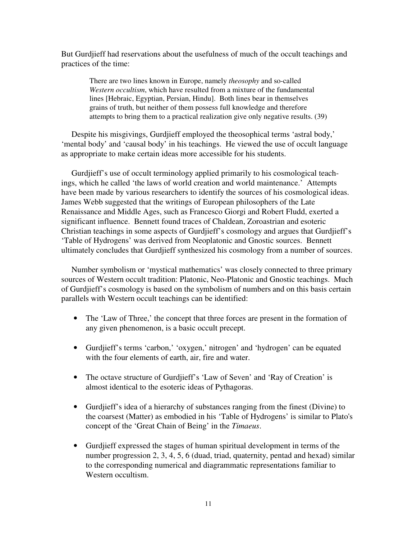But Gurdjieff had reservations about the usefulness of much of the occult teachings and practices of the time:

 There are two lines known in Europe, namely *theosophy* and so-called *Western occultism*, which have resulted from a mixture of the fundamental lines [Hebraic, Egyptian, Persian, Hindu]. Both lines bear in themselves grains of truth, but neither of them possess full knowledge and therefore attempts to bring them to a practical realization give only negative results. (39)

 Despite his misgivings, Gurdjieff employed the theosophical terms 'astral body,' 'mental body' and 'causal body' in his teachings. He viewed the use of occult language as appropriate to make certain ideas more accessible for his students.

 Gurdjieff's use of occult terminology applied primarily to his cosmological teachings, which he called 'the laws of world creation and world maintenance.' Attempts have been made by various researchers to identify the sources of his cosmological ideas. James Webb suggested that the writings of European philosophers of the Late Renaissance and Middle Ages, such as Francesco Giorgi and Robert Fludd, exerted a significant influence. Bennett found traces of Chaldean, Zoroastrian and esoteric Christian teachings in some aspects of Gurdjieff's cosmology and argues that Gurdjieff's 'Table of Hydrogens' was derived from Neoplatonic and Gnostic sources. Bennett ultimately concludes that Gurdjieff synthesized his cosmology from a number of sources.

 Number symbolism or 'mystical mathematics' was closely connected to three primary sources of Western occult tradition: Platonic, Neo-Platonic and Gnostic teachings. Much of Gurdjieff's cosmology is based on the symbolism of numbers and on this basis certain parallels with Western occult teachings can be identified:

- The 'Law of Three,' the concept that three forces are present in the formation of any given phenomenon, is a basic occult precept.
- Gurdjieff's terms 'carbon,' 'oxygen,' nitrogen' and 'hydrogen' can be equated with the four elements of earth, air, fire and water.
- The octave structure of Gurdjieff's 'Law of Seven' and 'Ray of Creation' is almost identical to the esoteric ideas of Pythagoras.
- Gurdjieff's idea of a hierarchy of substances ranging from the finest (Divine) to the coarsest (Matter) as embodied in his 'Table of Hydrogens' is similar to Plato's concept of the 'Great Chain of Being' in the *Timaeus*.
- Gurdjieff expressed the stages of human spiritual development in terms of the number progression 2, 3, 4, 5, 6 (duad, triad, quaternity, pentad and hexad) similar to the corresponding numerical and diagrammatic representations familiar to Western occultism.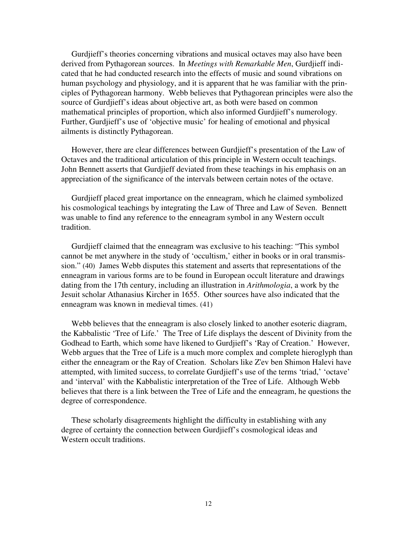Gurdjieff's theories concerning vibrations and musical octaves may also have been derived from Pythagorean sources. In *Meetings with Remarkable Men*, Gurdjieff indicated that he had conducted research into the effects of music and sound vibrations on human psychology and physiology, and it is apparent that he was familiar with the principles of Pythagorean harmony. Webb believes that Pythagorean principles were also the source of Gurdjieff's ideas about objective art, as both were based on common mathematical principles of proportion, which also informed Gurdjieff's numerology. Further, Gurdjieff's use of 'objective music' for healing of emotional and physical ailments is distinctly Pythagorean.

 However, there are clear differences between Gurdjieff's presentation of the Law of Octaves and the traditional articulation of this principle in Western occult teachings. John Bennett asserts that Gurdjieff deviated from these teachings in his emphasis on an appreciation of the significance of the intervals between certain notes of the octave.

 Gurdjieff placed great importance on the enneagram, which he claimed symbolized his cosmological teachings by integrating the Law of Three and Law of Seven. Bennett was unable to find any reference to the enneagram symbol in any Western occult tradition.

 Gurdjieff claimed that the enneagram was exclusive to his teaching: "This symbol cannot be met anywhere in the study of 'occultism,' either in books or in oral transmission." (40) James Webb disputes this statement and asserts that representations of the enneagram in various forms are to be found in European occult literature and drawings dating from the 17th century, including an illustration in *Arithmologia*, a work by the Jesuit scholar Athanasius Kircher in 1655. Other sources have also indicated that the enneagram was known in medieval times. (41)

 Webb believes that the enneagram is also closely linked to another esoteric diagram, the Kabbalistic 'Tree of Life.' The Tree of Life displays the descent of Divinity from the Godhead to Earth, which some have likened to Gurdjieff's 'Ray of Creation.' However, Webb argues that the Tree of Life is a much more complex and complete hieroglyph than either the enneagram or the Ray of Creation. Scholars like Z'ev ben Shimon Halevi have attempted, with limited success, to correlate Gurdjieff's use of the terms 'triad,' 'octave' and 'interval' with the Kabbalistic interpretation of the Tree of Life. Although Webb believes that there is a link between the Tree of Life and the enneagram, he questions the degree of correspondence.

 These scholarly disagreements highlight the difficulty in establishing with any degree of certainty the connection between Gurdjieff's cosmological ideas and Western occult traditions.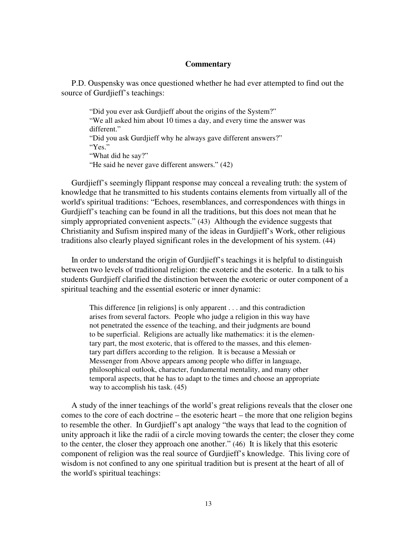# **Commentary**

 P.D. Ouspensky was once questioned whether he had ever attempted to find out the source of Gurdjieff's teachings:

 "Did you ever ask Gurdjieff about the origins of the System?" "We all asked him about 10 times a day, and every time the answer was different." "Did you ask Gurdjieff why he always gave different answers?" "Yes." "What did he say?" "He said he never gave different answers." (42)

 Gurdjieff's seemingly flippant response may conceal a revealing truth: the system of knowledge that he transmitted to his students contains elements from virtually all of the world's spiritual traditions: "Echoes, resemblances, and correspondences with things in Gurdjieff's teaching can be found in all the traditions, but this does not mean that he simply appropriated convenient aspects." (43) Although the evidence suggests that Christianity and Sufism inspired many of the ideas in Gurdjieff's Work, other religious traditions also clearly played significant roles in the development of his system. (44)

 In order to understand the origin of Gurdjieff's teachings it is helpful to distinguish between two levels of traditional religion: the exoteric and the esoteric. In a talk to his students Gurdjieff clarified the distinction between the exoteric or outer component of a spiritual teaching and the essential esoteric or inner dynamic:

 This difference [in religions] is only apparent . . . and this contradiction arises from several factors. People who judge a religion in this way have not penetrated the essence of the teaching, and their judgments are bound to be superficial. Religions are actually like mathematics: it is the elemen tary part, the most exoteric, that is offered to the masses, and this elemen tary part differs according to the religion. It is because a Messiah or Messenger from Above appears among people who differ in language, philosophical outlook, character, fundamental mentality, and many other temporal aspects, that he has to adapt to the times and choose an appropriate way to accomplish his task. (45)

 A study of the inner teachings of the world's great religions reveals that the closer one comes to the core of each doctrine – the esoteric heart – the more that one religion begins to resemble the other. In Gurdjieff's apt analogy "the ways that lead to the cognition of unity approach it like the radii of a circle moving towards the center; the closer they come to the center, the closer they approach one another." (46) It is likely that this esoteric component of religion was the real source of Gurdjieff's knowledge. This living core of wisdom is not confined to any one spiritual tradition but is present at the heart of all of the world's spiritual teachings: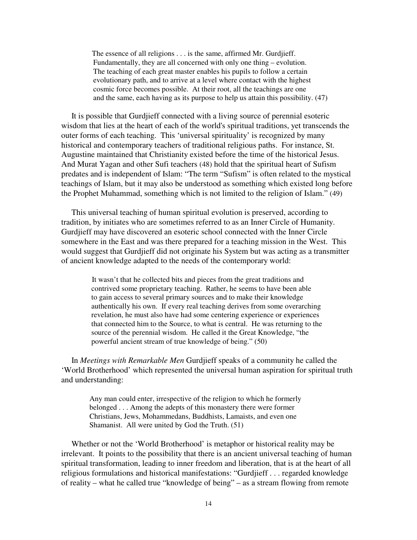The essence of all religions . . . is the same, affirmed Mr. Gurdjieff. Fundamentally, they are all concerned with only one thing – evolution. The teaching of each great master enables his pupils to follow a certain evolutionary path, and to arrive at a level where contact with the highest cosmic force becomes possible. At their root, all the teachings are one and the same, each having as its purpose to help us attain this possibility. (47)

 It is possible that Gurdjieff connected with a living source of perennial esoteric wisdom that lies at the heart of each of the world's spiritual traditions, yet transcends the outer forms of each teaching. This 'universal spirituality' is recognized by many historical and contemporary teachers of traditional religious paths. For instance, St. Augustine maintained that Christianity existed before the time of the historical Jesus. And Murat Yagan and other Sufi teachers (48) hold that the spiritual heart of Sufism predates and is independent of Islam: "The term "Sufism" is often related to the mystical teachings of Islam, but it may also be understood as something which existed long before the Prophet Muhammad, something which is not limited to the religion of Islam." (49)

 This universal teaching of human spiritual evolution is preserved, according to tradition, by initiates who are sometimes referred to as an Inner Circle of Humanity. Gurdjieff may have discovered an esoteric school connected with the Inner Circle somewhere in the East and was there prepared for a teaching mission in the West. This would suggest that Gurdjieff did not originate his System but was acting as a transmitter of ancient knowledge adapted to the needs of the contemporary world:

> It wasn't that he collected bits and pieces from the great traditions and contrived some proprietary teaching. Rather, he seems to have been able to gain access to several primary sources and to make their knowledge authentically his own. If every real teaching derives from some overarching revelation, he must also have had some centering experience or experiences that connected him to the Source, to what is central. He was returning to the source of the perennial wisdom. He called it the Great Knowledge, "the powerful ancient stream of true knowledge of being." (50)

 In *Meetings with Remarkable Men* Gurdjieff speaks of a community he called the 'World Brotherhood' which represented the universal human aspiration for spiritual truth and understanding:

 Any man could enter, irrespective of the religion to which he formerly belonged . . . Among the adepts of this monastery there were former Christians, Jews, Mohammedans, Buddhists, Lamaists, and even one Shamanist. All were united by God the Truth. (51)

 Whether or not the 'World Brotherhood' is metaphor or historical reality may be irrelevant. It points to the possibility that there is an ancient universal teaching of human spiritual transformation, leading to inner freedom and liberation, that is at the heart of all religious formulations and historical manifestations: "Gurdjieff . . . regarded knowledge of reality – what he called true "knowledge of being" – as a stream flowing from remote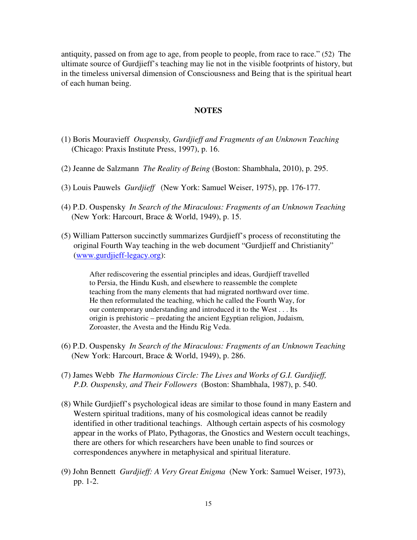antiquity, passed on from age to age, from people to people, from race to race." (52) The ultimate source of Gurdjieff's teaching may lie not in the visible footprints of history, but in the timeless universal dimension of Consciousness and Being that is the spiritual heart of each human being.

# **NOTES**

- (1) Boris Mouravieff *Ouspensky, Gurdjieff and Fragments of an Unknown Teaching* (Chicago: Praxis Institute Press, 1997), p. 16.
- (2) Jeanne de Salzmann *The Reality of Being* (Boston: Shambhala, 2010), p. 295.
- (3) Louis Pauwels *Gurdjieff* (New York: Samuel Weiser, 1975), pp. 176-177.
- (4) P.D. Ouspensky *In Search of the Miraculous: Fragments of an Unknown Teaching* (New York: Harcourt, Brace & World, 1949), p. 15.
- (5) William Patterson succinctly summarizes Gurdjieff's process of reconstituting the original Fourth Way teaching in the web document "Gurdjieff and Christianity" (www.gurdjieff-legacy.org):

 After rediscovering the essential principles and ideas, Gurdjieff travelled to Persia, the Hindu Kush, and elsewhere to reassemble the complete teaching from the many elements that had migrated northward over time. He then reformulated the teaching, which he called the Fourth Way, for our contemporary understanding and introduced it to the West . . . Its origin is prehistoric – predating the ancient Egyptian religion, Judaism, Zoroaster, the Avesta and the Hindu Rig Veda.

- (6) P.D. Ouspensky *In Search of the Miraculous: Fragments of an Unknown Teaching* (New York: Harcourt, Brace & World, 1949), p. 286.
- (7) James Webb *The Harmonious Circle: The Lives and Works of G.I. Gurdjieff, P.D. Ouspensky, and Their Followers* (Boston: Shambhala, 1987), p. 540.
- (8) While Gurdjieff's psychological ideas are similar to those found in many Eastern and Western spiritual traditions, many of his cosmological ideas cannot be readily identified in other traditional teachings. Although certain aspects of his cosmology appear in the works of Plato, Pythagoras, the Gnostics and Western occult teachings, there are others for which researchers have been unable to find sources or correspondences anywhere in metaphysical and spiritual literature.
- (9) John Bennett *Gurdjieff: A Very Great Enigma* (New York: Samuel Weiser, 1973), pp. 1-2.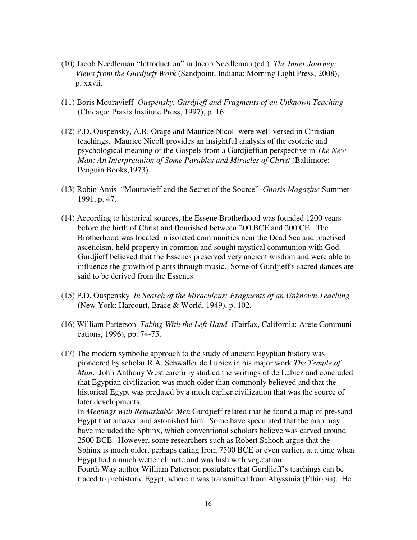- (10) Jacob Needleman "Introduction" in Jacob Needleman (ed.) *The Inner Journey: Views from the Gurdjieff Work* (Sandpoint, Indiana: Morning Light Press, 2008), p. xxvii.
- (11) Boris Mouravieff *Ouspensky, Gurdjieff and Fragments of an Unknown Teaching*  (Chicago: Praxis Institute Press, 1997), p. 16.
- (12) P.D. Ouspensky, A.R. Orage and Maurice Nicoll were well-versed in Christian teachings. Maurice Nicoll provides an insightful analysis of the esoteric and psychological meaning of the Gospels from a Gurdjieffian perspective in *The New Man: An Interpretation of Some Parables and Miracles of Christ (Baltimore:* Penguin Books,1973).
- (13) Robin Amis "Mouravieff and the Secret of the Source" *Gnosis Magazine* Summer 1991, p. 47.
- (14) According to historical sources, the Essene Brotherhood was founded 1200 years before the birth of Christ and flourished between 200 BCE and 200 CE. The Brotherhood was located in isolated communities near the Dead Sea and practised asceticism, held property in common and sought mystical communion with God. Gurdjieff believed that the Essenes preserved very ancient wisdom and were able to influence the growth of plants through music. Some of Gurdjieff's sacred dances are said to be derived from the Essenes.
- (15) P.D. Ouspensky *In Search of the Miraculous: Fragments of an Unknown Teaching* (New York: Harcourt, Brace & World, 1949), p. 102.
- (16) William Patterson *Taking With the Left Hand* (Fairfax, California: Arete Communi cations, 1996), pp. 74-75.
- (17) The modern symbolic approach to the study of ancient Egyptian history was pioneered by scholar R.A. Schwaller de Lubicz in his major work *The Temple of Man*. John Anthony West carefully studied the writings of de Lubicz and concluded that Egyptian civilization was much older than commonly believed and that the historical Egypt was predated by a much earlier civilization that was the source of later developments.

 In *Meetings with Remarkable Men* Gurdjieff related that he found a map of pre-sand Egypt that amazed and astonished him. Some have speculated that the map may have included the Sphinx, which conventional scholars believe was carved around 2500 BCE. However, some researchers such as Robert Schoch argue that the Sphinx is much older, perhaps dating from 7500 BCE or even earlier, at a time when Egypt had a much wetter climate and was lush with vegetation.

 Fourth Way author William Patterson postulates that Gurdjieff's teachings can be traced to prehistoric Egypt, where it was transmitted from Abyssinia (Ethiopia). He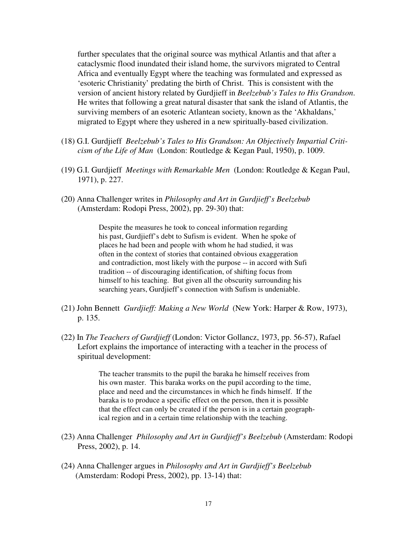further speculates that the original source was mythical Atlantis and that after a cataclysmic flood inundated their island home, the survivors migrated to Central Africa and eventually Egypt where the teaching was formulated and expressed as 'esoteric Christianity' predating the birth of Christ. This is consistent with the version of ancient history related by Gurdjieff in *Beelzebub's Tales to His Grandson*. He writes that following a great natural disaster that sank the island of Atlantis, the surviving members of an esoteric Atlantean society, known as the 'Akhaldans,' migrated to Egypt where they ushered in a new spiritually-based civilization.

- (18) G.I. Gurdjieff *Beelzebub's Tales to His Grandson: An Objectively Impartial Criti cism of the Life of Man* (London: Routledge & Kegan Paul, 1950), p. 1009.
- (19) G.I. Gurdjieff *Meetings with Remarkable Men* (London: Routledge & Kegan Paul, 1971), p. 227.
- (20) Anna Challenger writes in *Philosophy and Art in Gurdjieff's Beelzebub* (Amsterdam: Rodopi Press, 2002), pp. 29-30) that:

 Despite the measures he took to conceal information regarding his past, Gurdjieff's debt to Sufism is evident. When he spoke of places he had been and people with whom he had studied, it was often in the context of stories that contained obvious exaggeration and contradiction, most likely with the purpose -- in accord with Sufi tradition -- of discouraging identification, of shifting focus from himself to his teaching. But given all the obscurity surrounding his searching years, Gurdjieff's connection with Sufism is undeniable.

- (21) John Bennett *Gurdjieff: Making a New World* (New York: Harper & Row, 1973), p. 135.
- (22) In *The Teachers of Gurdjieff* (London: Victor Gollancz, 1973, pp. 56-57), Rafael Lefort explains the importance of interacting with a teacher in the process of spiritual development:

 The teacher transmits to the pupil the baraka he himself receives from his own master. This baraka works on the pupil according to the time, place and need and the circumstances in which he finds himself. If the baraka is to produce a specific effect on the person, then it is possible that the effect can only be created if the person is in a certain geograph ical region and in a certain time relationship with the teaching.

- (23) Anna Challenger *Philosophy and Art in Gurdjieff's Beelzebub* (Amsterdam: Rodopi Press, 2002), p. 14.
- (24) Anna Challenger argues in *Philosophy and Art in Gurdjieff's Beelzebub* (Amsterdam: Rodopi Press, 2002), pp. 13-14) that: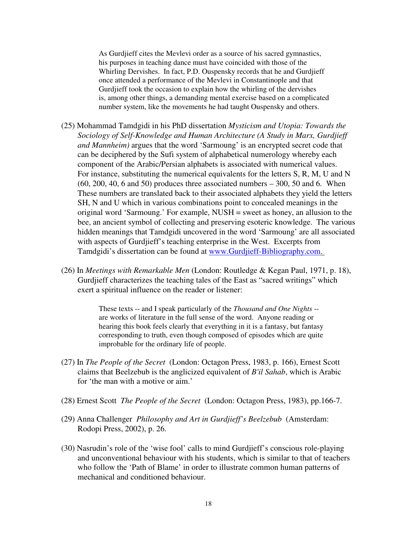As Gurdjieff cites the Mevlevi order as a source of his sacred gymnastics, his purposes in teaching dance must have coincided with those of the Whirling Dervishes. In fact, P.D. Ouspensky records that he and Gurdjieff once attended a performance of the Mevlevi in Constantinople and that Gurdjieff took the occasion to explain how the whirling of the dervishes is, among other things, a demanding mental exercise based on a complicated number system, like the movements he had taught Ouspensky and others.

- (25) Mohammad Tamdgidi in his PhD dissertation *Mysticism and Utopia: Towards the Sociology of Self-Knowledge and Human Architecture (A Study in Marx, Gurdjieff and Mannheim)* argues that the word 'Sarmoung' is an encrypted secret code that can be deciphered by the Sufi system of alphabetical numerology whereby each component of the Arabic/Persian alphabets is associated with numerical values. For instance, substituting the numerical equivalents for the letters S, R, M, U and N  $(60, 200, 40, 6$  and 50) produces three associated numbers  $-300, 50$  and 6. When These numbers are translated back to their associated alphabets they yield the letters SH, N and U which in various combinations point to concealed meanings in the original word 'Sarmoung.' For example, NUSH = sweet as honey, an allusion to the bee, an ancient symbol of collecting and preserving esoteric knowledge. The various hidden meanings that Tamdgidi uncovered in the word 'Sarmoung' are all associated with aspects of Gurdjieff's teaching enterprise in the West. Excerpts from Tamdgidi's dissertation can be found at www.Gurdjieff-Bibliography.com.
- (26) In *Meetings with Remarkable Men* (London: Routledge & Kegan Paul, 1971, p. 18), Gurdjieff characterizes the teaching tales of the East as "sacred writings" which exert a spiritual influence on the reader or listener:

 These texts -- and I speak particularly of the *Thousand and One Nights* - are works of literature in the full sense of the word. Anyone reading or hearing this book feels clearly that everything in it is a fantasy, but fantasy corresponding to truth, even though composed of episodes which are quite improbable for the ordinary life of people.

- (27) In *The People of the Secret* (London: Octagon Press, 1983, p. 166), Ernest Scott claims that Beelzebub is the anglicized equivalent of *B'il Sahab*, which is Arabic for 'the man with a motive or aim.'
- (28) Ernest Scott *The People of the Secret* (London: Octagon Press, 1983), pp.166-7.
- (29) Anna Challenger *Philosophy and Art in Gurdjieff's Beelzebub* (Amsterdam: Rodopi Press, 2002), p. 26.
- (30) Nasrudin's role of the 'wise fool' calls to mind Gurdjieff's conscious role-playing and unconventional behaviour with his students, which is similar to that of teachers who follow the 'Path of Blame' in order to illustrate common human patterns of mechanical and conditioned behaviour.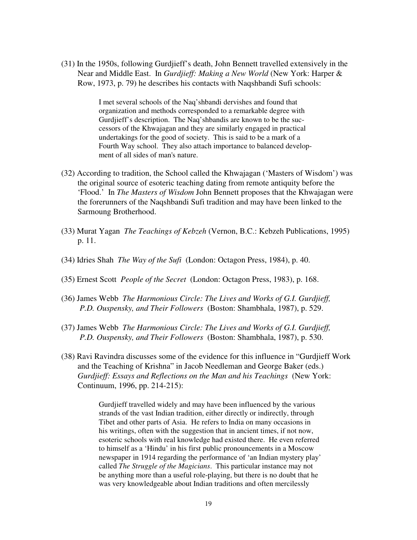(31) In the 1950s, following Gurdjieff's death, John Bennett travelled extensively in the Near and Middle East. In *Gurdjieff: Making a New World* (New York: Harper & Row, 1973, p. 79) he describes his contacts with Naqshbandi Sufi schools:

> I met several schools of the Naq'shbandi dervishes and found that organization and methods corresponded to a remarkable degree with Gurdjieff's description. The Naq'shbandis are known to be the suc cessors of the Khwajagan and they are similarly engaged in practical undertakings for the good of society. This is said to be a mark of a Fourth Way school. They also attach importance to balanced develop ment of all sides of man's nature.

- (32) According to tradition, the School called the Khwajagan ('Masters of Wisdom') was the original source of esoteric teaching dating from remote antiquity before the 'Flood.' In *The Masters of Wisdom* John Bennett proposes that the Khwajagan were the forerunners of the Naqshbandi Sufi tradition and may have been linked to the Sarmoung Brotherhood.
- (33) Murat Yagan *The Teachings of Kebzeh* (Vernon, B.C.: Kebzeh Publications, 1995) p. 11.
- (34) Idries Shah *The Way of the Sufi* (London: Octagon Press, 1984), p. 40.
- (35) Ernest Scott *People of the Secret* (London: Octagon Press, 1983), p. 168.
- (36) James Webb *The Harmonious Circle: The Lives and Works of G.I. Gurdjieff, P.D. Ouspensky, and Their Followers* (Boston: Shambhala, 1987), p. 529.
- (37) James Webb *The Harmonious Circle: The Lives and Works of G.I. Gurdjieff, P.D. Ouspensky, and Their Followers* (Boston: Shambhala, 1987), p. 530.
- (38) Ravi Ravindra discusses some of the evidence for this influence in "Gurdjieff Work and the Teaching of Krishna" in Jacob Needleman and George Baker (eds.) *Gurdjieff: Essays and Reflections on the Man and his Teachings* (New York: Continuum, 1996, pp. 214-215):

 Gurdjieff travelled widely and may have been influenced by the various strands of the vast Indian tradition, either directly or indirectly, through Tibet and other parts of Asia. He refers to India on many occasions in his writings, often with the suggestion that in ancient times, if not now, esoteric schools with real knowledge had existed there. He even referred to himself as a 'Hindu' in his first public pronouncements in a Moscow newspaper in 1914 regarding the performance of 'an Indian mystery play' called *The Struggle of the Magicians*. This particular instance may not be anything more than a useful role-playing, but there is no doubt that he was very knowledgeable about Indian traditions and often mercilessly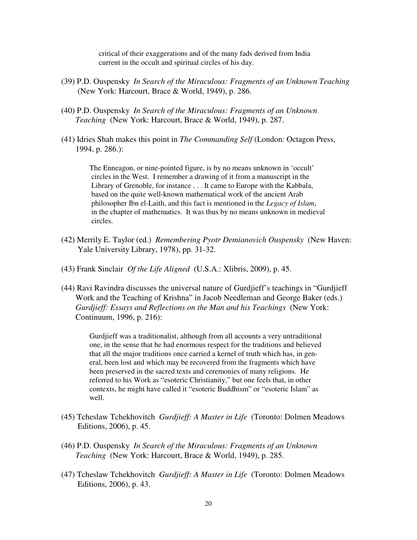critical of their exaggerations and of the many fads derived from India current in the occult and spiritual circles of his day.

- (39) P.D. Ouspensky *In Search of the Miraculous: Fragments of an Unknown Teaching* (New York: Harcourt, Brace & World, 1949), p. 286.
- (40) P.D. Ouspensky *In Search of the Miraculous: Fragments of an Unknown Teaching* (New York: Harcourt, Brace & World, 1949), p. 287.
- (41) Idries Shah makes this point in *The Commanding Self* (London: Octagon Press, 1994, p. 286.):

 The Enneagon, or nine-pointed figure, is by no means unknown in 'occult' circles in the West. I remember a drawing of it from a manuscript in the Library of Grenoble, for instance . . . It came to Europe with the Kabbala, based on the quite well-known mathematical work of the ancient Arab philosopher Ibn el-Laith, and this fact is mentioned in the *Legacy of Islam*, in the chapter of mathematics. It was thus by no means unknown in medieval circles.

- (42) Merrily E. Taylor (ed.) *Remembering Pyotr Demianovich Ouspensky* (New Haven: Yale University Library, 1978), pp. 31-32.
- (43) Frank Sinclair *Of the Life Aligned* (U.S.A.: Xlibris, 2009), p. 45.
- (44) Ravi Ravindra discusses the universal nature of Gurdjieff's teachings in "Gurdjieff Work and the Teaching of Krishna" in Jacob Needleman and George Baker (eds.) *Gurdjieff: Essays and Reflections on the Man and his Teachings* (New York: Continuum, 1996, p. 216):

 Gurdjieff was a traditionalist, although from all accounts a very untraditional one, in the sense that he had enormous respect for the traditions and believed that all the major traditions once carried a kernel of truth which has, in gen eral, been lost and which may be recovered from the fragments which have been preserved in the sacred texts and ceremonies of many religions. He referred to his Work as "esoteric Christianity," but one feels that, in other contexts, he might have called it "esoteric Buddhism" or "esoteric Islam" as well.

- (45) Tcheslaw Tchekhovitch *Gurdjieff: A Master in Life* (Toronto: Dolmen Meadows Editions, 2006), p. 45.
- (46) P.D. Ouspensky *In Search of the Miraculous: Fragments of an Unknown Teaching* (New York: Harcourt, Brace & World, 1949), p. 285.
- (47) Tcheslaw Tchekhovitch *Gurdjieff: A Master in Life* (Toronto: Dolmen Meadows Editions, 2006), p. 43.